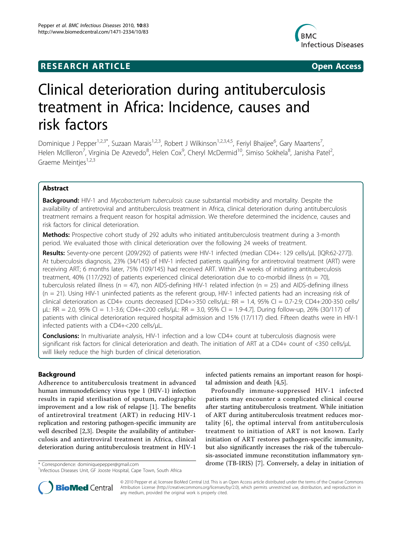## **RESEARCH ARTICLE Example 2018 12:00 Department of the Contract Open Access**



# Clinical deterioration during antituberculosis treatment in Africa: Incidence, causes and risk factors

Dominique J Pepper<sup>1,2,3\*</sup>, Suzaan Marais<sup>1,2,3</sup>, Robert J Wilkinson<sup>1,2,3,4,5</sup>, Feriyl Bhaijee<sup>6</sup>, Gary Maartens<sup>7</sup> , Helen McIlleron<sup>7</sup>, Virginia De Azevedo<sup>8</sup>, Helen Cox<sup>9</sup>, Cheryl McDermid<sup>10</sup>, Simiso Sokhela<sup>8</sup>, Janisha Patel<sup>2</sup> , Graeme Meintjes<sup>1,2,3</sup>

## Abstract

Background: HIV-1 and Mycobacterium tuberculosis cause substantial morbidity and mortality. Despite the availability of antiretroviral and antituberculosis treatment in Africa, clinical deterioration during antituberculosis treatment remains a frequent reason for hospital admission. We therefore determined the incidence, causes and risk factors for clinical deterioration.

Methods: Prospective cohort study of 292 adults who initiated antituberculosis treatment during a 3-month period. We evaluated those with clinical deterioration over the following 24 weeks of treatment.

Results: Seventy-one percent (209/292) of patients were HIV-1 infected (median CD4+: 129 cells/µL [IQR:62-277]). At tuberculosis diagnosis, 23% (34/145) of HIV-1 infected patients qualifying for antiretroviral treatment (ART) were receiving ART; 6 months later, 75% (109/145) had received ART. Within 24 weeks of initiating antituberculosis treatment, 40% (117/292) of patients experienced clinical deterioration due to co-morbid illness ( $n = 70$ ), tuberculosis related illness ( $n = 47$ ), non AIDS-defining HIV-1 related infection ( $n = 25$ ) and AIDS-defining illness (n = 21). Using HIV-1 uninfected patients as the referent group, HIV-1 infected patients had an increasing risk of clinical deterioration as CD4+ counts decreased [CD4+>350 cells/μL: RR = 1.4, 95% CI = 0.7-2.9; CD4+:200-350 cells/ μL: RR = 2.0, 95% CI = 1.1-3.6; CD4+<200 cells/μL: RR = 3.0, 95% CI = 1.9-4.7]. During follow-up, 26% (30/117) of patients with clinical deterioration required hospital admission and 15% (17/117) died. Fifteen deaths were in HIV-1 infected patients with a CD4+<200 cells/μL.

**Conclusions:** In multivariate analysis, HIV-1 infection and a low CD4+ count at tuberculosis diagnosis were significant risk factors for clinical deterioration and death. The initiation of ART at a CD4+ count of <350 cells/μL will likely reduce the high burden of clinical deterioration.

## Background

Adherence to antituberculosis treatment in advanced human immunodeficiency virus type 1 (HIV-1) infection results in rapid sterilisation of sputum, radiographic improvement and a low risk of relapse [[1\]](#page-9-0). The benefits of antiretroviral treatment (ART) in reducing HIV-1 replication and restoring pathogen-specific immunity are well described [\[2](#page-9-0),[3](#page-9-0)]. Despite the availability of antituberculosis and antiretroviral treatment in Africa, clinical deterioration during antituberculosis treatment in HIV-1

infected patients remains an important reason for hospital admission and death [\[4,5\]](#page-9-0).

Profoundly immune-suppressed HIV-1 infected patients may encounter a complicated clinical course after starting antituberculosis treatment. While initiation of ART during antituberculosis treatment reduces mortality [[6\]](#page-9-0), the optimal interval from antituberculosis treatment to initiation of ART is not known. Early initiation of ART restores pathogen-specific immunity, but also significantly increases the risk of the tuberculosis-associated immune reconstitution inflammatory syn \* Correspondence: [dominiquepepper@gmail.com](mailto:dominiquepepper@gmail.com) **drome (TB-IRIS)** [[7\]](#page-9-0). Conversely, a delay in initiation of



© 2010 Pepper et al; licensee BioMed Central Ltd. This is an Open Access article distributed under the terms of the Creative Commons Attribution License [\(http://creativecommons.org/licenses/by/2.0](http://creativecommons.org/licenses/by/2.0)), which permits unrestricted use, distribution, and reproduction in any medium, provided the original work is properly cited.

<sup>&</sup>lt;sup>1</sup>Infectious Diseases Unit, GF Jooste Hospital, Cape Town, South Africa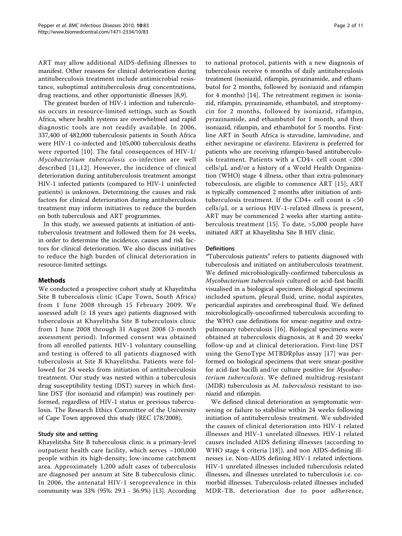ART may allow additional AIDS-defining illnesses to manifest. Other reasons for clinical deterioration during antituberculosis treatment include antimicrobial resistance, suboptimal antituberculosis drug concentrations, drug reactions, and other opportunistic illnesses [[8,9\]](#page-9-0).

The greatest burden of HIV-1 infection and tuberculosis occurs in resource-limited settings, such as South Africa, where health systems are overwhelmed and rapid diagnostic tools are not readily available. In 2006, 337,400 of 482,000 tuberculosis patients in South Africa were HIV-1 co-infected and 105,000 tuberculosis deaths were reported [[10](#page-9-0)]. The fatal consequences of HIV-1/ Mycobacterium tuberculosis co-infection are well described [[11](#page-9-0),[12](#page-9-0)]. However, the incidence of clinical deterioration during antituberculosis treatment amongst HIV-1 infected patients (compared to HIV-1 uninfected patients) is unknown. Determining the causes and risk factors for clinical deterioration during antituberculosis treatment may inform initiatives to reduce the burden on both tuberculosis and ART programmes.

In this study, we assessed patients at initiation of antituberculosis treatment and followed them for 24 weeks, in order to determine the incidence, causes and risk factors for clinical deterioration. We also discuss initiatives to reduce the high burden of clinical deterioration in resource-limited settings.

#### Methods

We conducted a prospective cohort study at Khayelitsha Site B tuberculosis clinic (Cape Town, South Africa) from 1 June 2008 through 15 February 2009. We assessed adult ( $\geq$  18 years age) patients diagnosed with tuberculosis at Khayelitsha Site B tuberculosis clinic from 1 June 2008 through 31 August 2008 (3-month assessment period). Informed consent was obtained from all enrolled patients. HIV-1 voluntary counselling and testing is offered to all patients diagnosed with tuberculosis at Site B Khayelitsha. Patients were followed for 24 weeks from initiation of antituberculosis treatment. Our study was nested within a tuberculosis drug susceptibility testing (DST) survey in which firstline DST (for isoniazid and rifampin) was routinely performed, regardless of HIV-1 status or previous tuberculosis. The Research Ethics Committee of the University of Cape Town approved this study (REC 178/2008).

## Study site and setting

Khayelitsha Site B tuberculosis clinic is a primary-level outpatient health care facility, which serves  $~100,000$ people within its high-density, low-income catchment area. Approximately 1,200 adult cases of tuberculosis are diagnosed per annum at Site B tuberculosis clinic. In 2006, the antenatal HIV-1 seroprevalence in this community was 33% (95%: 29.1 - 36.9%) [[13\]](#page-9-0). According

to national protocol, patients with a new diagnosis of tuberculosis receive 6 months of daily antituberculosis treatment (isoniazid, rifampin, pyrazinamide, and ethambutol for 2 months, followed by isoniazid and rifampin for 4 months) [[14\]](#page-9-0). The retreatment regimen is: isoniazid, rifampin, pyrazinamide, ethambutol, and streptomycin for 2 months, followed by isoniazid, rifampin, pyrazinamide, and ethambutol for 1 month, and then isoniazid, rifampin, and ethambutol for 5 months. Firstline ART in South Africa is stavudine, lamivudine, and either nevirapine or efavirenz. Efavirenz is preferred for patients who are receiving rifampin-based antituberculosis treatment. Patients with a CD4+ cell count <200 cells/μL and/or a history of a World Health Organization (WHO) stage 4 illness, other than extra-pulmonary tuberculosis, are eligible to commence ART [[15\]](#page-9-0); ART is typically commenced 2 months after initiation of antituberculosis treatment. If the CD4+ cell count is <50 cells/μL or a serious HIV-1-related illness is present, ART may be commenced 2 weeks after starting antituberculosis treatment [[15\]](#page-9-0). To date, >5,000 people have initiated ART at Khayelitsha Site B HIV clinic.

#### **Definitions**

"Tuberculosis patients" refers to patients diagnosed with tuberculosis and initiated on antituberculosis treatment. We defined microbiologically-confirmed tuberculosis as Mycobacterium tuberculosis cultured or acid-fast bacilli visualised in a biological specimen. Biological specimens included sputum, pleural fluid, urine, nodal aspirates, pericardial aspirates and cerebrospinal fluid. We defined microbiologically-unconfirmed tuberculosis according to the WHO case definitions for smear-negative and extrapulmonary tuberculosis [[16\]](#page-9-0). Biological specimens were obtained at tuberculosis diagnosis, at 8 and 20 weeks' follow-up and at clinical deterioration. First-line DST using the GenoType MTBDRplus assay [[17](#page-9-0)] was performed on biological specimens that were smear-positive for acid-fast bacilli and/or culture positive for Mycobacterium tuberculosis. We defined multidrug-resistant (MDR) tuberculosis as M. tuberculosis resistant to isoniazid and rifampin.

We defined clinical deterioration as symptomatic worsening or failure to stabilise within 24 weeks following initiation of antituberculosis treatment. We subdivided the causes of clinical deterioration into HIV-1 related illnesses and HIV-1 unrelated illnesses. HIV-1 related causes included AIDS defining illnesses (according to WHO stage 4 criteria [[18\]](#page-9-0)), and non AIDS-defining illnesses i.e. Non-AIDS defining HIV-1 related infections. HIV-1 unrelated illnesses included tuberculosis related illnesses, and illnesses unrelated to tuberculosis i.e. comorbid illnesses. Tuberculosis-related illnesses included MDR-TB, deterioration due to poor adherence,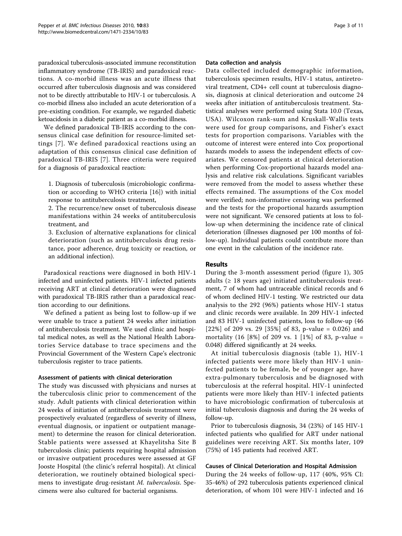paradoxical tuberculosis-associated immune reconstitution inflammatory syndrome (TB-IRIS) and paradoxical reactions. A co-morbid illness was an acute illness that occurred after tuberculosis diagnosis and was considered not to be directly attributable to HIV-1 or tuberculosis. A co-morbid illness also included an acute deterioration of a pre-existing condition. For example, we regarded diabetic ketoacidosis in a diabetic patient as a co-morbid illness.

We defined paradoxical TB-IRIS according to the consensus clinical case definition for resource-limited settings [[7\]](#page-9-0). We defined paradoxical reactions using an adaptation of this consensus clinical case definition of paradoxical TB-IRIS [[7](#page-9-0)]. Three criteria were required for a diagnosis of paradoxical reaction:

1. Diagnosis of tuberculosis (microbiologic confirmation or according to WHO criteria [\[16](#page-9-0)]) with initial response to antituberculosis treatment,

2. The recurrence/new onset of tuberculosis disease manifestations within 24 weeks of antituberculosis treatment, and

3. Exclusion of alternative explanations for clinical deterioration (such as antituberculosis drug resistance, poor adherence, drug toxicity or reaction, or an additional infection).

Paradoxical reactions were diagnosed in both HIV-1 infected and uninfected patients. HIV-1 infected patients receiving ART at clinical deterioration were diagnosed with paradoxical TB-IRIS rather than a paradoxical reaction according to our definitions.

We defined a patient as being lost to follow-up if we were unable to trace a patient 24 weeks after initiation of antituberculosis treatment. We used clinic and hospital medical notes, as well as the National Health Laboratories Service database to trace specimens and the Provincial Government of the Western Cape's electronic tuberculosis register to trace patients.

#### Assessment of patients with clinical deterioration

The study was discussed with physicians and nurses at the tuberculosis clinic prior to commencement of the study. Adult patients with clinical deterioration within 24 weeks of initiation of antituberculosis treatment were prospectively evaluated (regardless of severity of illness, eventual diagnosis, or inpatient or outpatient management) to determine the reason for clinical deterioration. Stable patients were assessed at Khayelitsha Site B tuberculosis clinic; patients requiring hospital admission or invasive outpatient procedures were assessed at GF Jooste Hospital (the clinic's referral hospital). At clinical deterioration, we routinely obtained biological specimens to investigate drug-resistant M. tuberculosis. Specimens were also cultured for bacterial organisms.

#### Data collection and analysis

Data collected included demographic information, tuberculosis specimen results, HIV-1 status, antiretroviral treatment, CD4+ cell count at tuberculosis diagnosis, diagnosis at clinical deterioration and outcome 24 weeks after initiation of antituberculosis treatment. Statistical analyses were performed using Stata 10.0 (Texas, USA). Wilcoxon rank-sum and Kruskall-Wallis tests were used for group comparisons, and Fisher's exact tests for proportion comparisons. Variables with the outcome of interest were entered into Cox proportional hazards models to assess the independent effects of covariates. We censored patients at clinical deterioration when performing Cox-proportional hazards model analysis and relative risk calculations. Significant variables were removed from the model to assess whether these effects remained. The assumptions of the Cox model were verified; non-informative censoring was performed and the tests for the proportional hazards assumption were not significant. We censored patients at loss to follow-up when determining the incidence rate of clinical deterioration (illnesses diagnosed per 100 months of follow-up). Individual patients could contribute more than one event in the calculation of the incidence rate.

### Results

During the 3-month assessment period (figure [1](#page-3-0)), 305 adults ( $\geq$  18 years age) initiated antituberculosis treatment, 7 of whom had untraceable clinical records and 6 of whom declined HIV-1 testing. We restricted our data analysis to the 292 (96%) patients whose HIV-1 status and clinic records were available. In 209 HIV-1 infected and 83 HIV-1 uninfected patients, loss to follow-up (46 [22%] of 209 vs. 29 [35%] of 83, p-value = 0.026) and mortality  $(16 \, 8\%)$  of 209 vs. 1 [1%] of 83, p-value = 0.048) differed significantly at 24 weeks.

At initial tuberculosis diagnosis (table [1\)](#page-4-0), HIV-1 infected patients were more likely than HIV-1 uninfected patients to be female, be of younger age, have extra-pulmonary tuberculosis and be diagnosed with tuberculosis at the referral hospital. HIV-1 uninfected patients were more likely than HIV-1 infected patients to have microbiologic confirmation of tuberculosis at initial tuberculosis diagnosis and during the 24 weeks of follow-up.

Prior to tuberculosis diagnosis, 34 (23%) of 145 HIV-1 infected patients who qualified for ART under national guidelines were receiving ART. Six months later, 109 (75%) of 145 patients had received ART.

## Causes of Clinical Deterioration and Hospital Admission

During the 24 weeks of follow-up, 117 (40%, 95% CI: 35-46%) of 292 tuberculosis patients experienced clinical deterioration, of whom 101 were HIV-1 infected and 16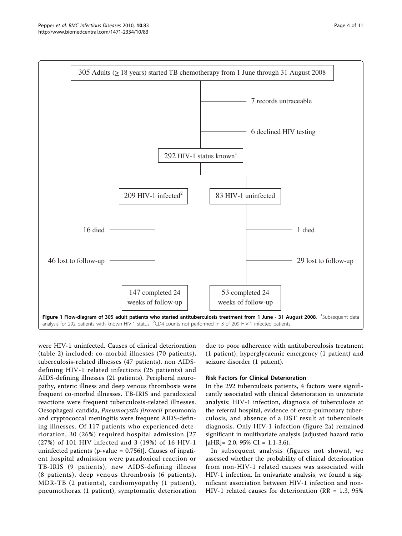<span id="page-3-0"></span>

were HIV-1 uninfected. Causes of clinical deterioration (table [2\)](#page-5-0) included: co-morbid illnesses (70 patients), tuberculosis-related illnesses (47 patients), non AIDSdefining HIV-1 related infections (25 patients) and AIDS-defining illnesses (21 patients). Peripheral neuropathy, enteric illness and deep venous thrombosis were frequent co-morbid illnesses. TB-IRIS and paradoxical reactions were frequent tuberculosis-related illnesses. Oesophageal candida, Pneumocystis jirovecii pneumonia and cryptococcal meningitis were frequent AIDS-defining illnesses. Of 117 patients who experienced deterioration, 30 (26%) required hospital admission [27 (27%) of 101 HIV infected and 3 (19%) of 16 HIV-1 uninfected patients (p-value = 0.756)]. Causes of inpatient hospital admission were paradoxical reaction or TB-IRIS (9 patients), new AIDS-defining illness (8 patients), deep venous thrombosis (6 patients), MDR-TB (2 patients), cardiomyopathy (1 patient), pneumothorax (1 patient), symptomatic deterioration

due to poor adherence with antituberculosis treatment (1 patient), hyperglycaemic emergency (1 patient) and seizure disorder (1 patient).

#### Risk Factors for Clinical Deterioration

In the 292 tuberculosis patients, 4 factors were significantly associated with clinical deterioration in univariate analysis: HIV-1 infection, diagnosis of tuberculosis at the referral hospital, evidence of extra-pulmonary tuberculosis, and absence of a DST result at tuberculosis diagnosis. Only HIV-1 infection (figure [2a](#page-6-0)) remained significant in multivariate analysis (adjusted hazard ratio  $[aHR] = 2.0, 95\% \text{ CI} = 1.1 - 3.6$ .

In subsequent analysis (figures not shown), we assessed whether the probability of clinical deterioration from non-HIV-1 related causes was associated with HIV-1 infection. In univariate analysis, we found a significant association between HIV-1 infection and non-HIV-1 related causes for deterioration (RR = 1.3, 95%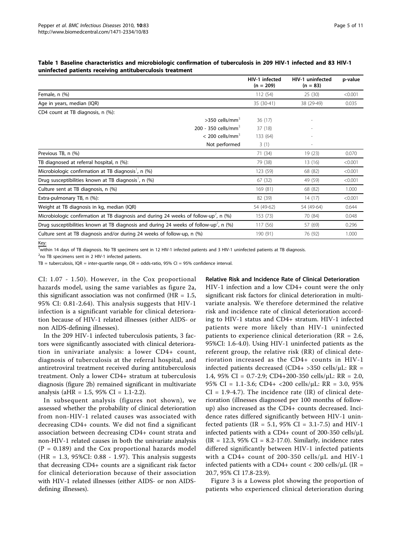|                                                                                                              | HIV-1 infected<br>$(n = 209)$ | HIV-1 uninfected<br>$(n = 83)$ | p-value |
|--------------------------------------------------------------------------------------------------------------|-------------------------------|--------------------------------|---------|
| Female, n (%)                                                                                                | 112 (54)                      | 25(30)                         | < 0.001 |
| Age in years, median (IQR)                                                                                   | 35 (30-41)                    | 38 (29-49)                     | 0.035   |
| CD4 count at TB diagnosis, n (%):                                                                            |                               |                                |         |
| $>$ 350 cells/mm <sup>3</sup>                                                                                | 36 (17)                       |                                |         |
| 200 - 350 cells/mm <sup>3</sup>                                                                              | 37 (18)                       |                                |         |
| $< 200$ cells/mm <sup>3</sup>                                                                                | 133 (64)                      |                                |         |
| Not performed                                                                                                | 3(1)                          |                                |         |
| Previous TB, n (%)                                                                                           | 71 (34)                       | 19(23)                         | 0.070   |
| TB diagnosed at referral hospital, n (%):                                                                    | 79 (38)                       | 13(16)                         | < 0.001 |
| Microbiologic confirmation at TB diagnosis <sup>'</sup> , n (%)                                              | 123 (59)                      | 68 (82)                        | < 0.001 |
| Drug susceptibilities known at TB diagnosis <sup>1</sup> , n (%)                                             | 67 (32)                       | < 0.001<br>49 (59)             |         |
| Culture sent at TB diagnosis, n (%)                                                                          | 169 (81)                      | 68 (82)                        |         |
| Extra-pulmonary TB, n (%):                                                                                   | 82 (39)                       | 14(17)                         | < 0.001 |
| Weight at TB diagnosis in kg, median (IQR)                                                                   | 54 (49-62)                    | 54 (49-64)                     | 0.644   |
| Microbiologic confirmation at TB diagnosis and during 24 weeks of follow-up <sup>2</sup> , n (%)             | 153 (73)                      | 70 (84)                        | 0.048   |
| Drug susceptibilities known at TB diagnosis and during 24 weeks of follow-up <sup>2</sup> , n $\frac{96}{9}$ | 117 (56)                      | 57 (69)                        | 0.296   |
| Culture sent at TB diagnosis and/or during 24 weeks of follow-up, n (%)                                      | 190 (91)                      | 76 (92)                        | 1.000   |

#### <span id="page-4-0"></span>Table 1 Baseline characteristics and microbiologic confirmation of tuberculosis in 209 HIV-1 infected and 83 HIV-1 uninfected patients receiving antituberculosis treatment

Key:

<sup>1</sup> within 14 days of TB diagnosis. No TB specimens sent in 12 HIV-1 infected patients and 3 HIV-1 uninfected patients at TB diagnosis.

<sup>2</sup>no TB specimens sent in 2 HIV-1 infected patients.

 $TB =$  tuberculosis, IQR = inter-quartile range, OR = odds-ratio, 95% CI = 95% confidence interval.

CI: 1.07 - 1.50). However, in the Cox proportional hazards model, using the same variables as figure [2a](#page-6-0), this significant association was not confirmed ( $HR = 1.5$ , 95% CI: 0.81-2.64). This analysis suggests that HIV-1 infection is a significant variable for clinical deterioration because of HIV-1 related illnesses (either AIDS- or non AIDS-defining illnesses).

In the 209 HIV-1 infected tuberculosis patients, 3 factors were significantly associated with clinical deterioration in univariate analysis: a lower CD4+ count, diagnosis of tuberculosis at the referral hospital, and antiretroviral treatment received during antituberculosis treatment. Only a lower CD4+ stratum at tuberculosis diagnosis (figure [2b](#page-6-0)) remained significant in multivariate analysis (aHR =  $1.5$ , 95% CI =  $1.1$ -2.2).

In subsequent analysis (figures not shown), we assessed whether the probability of clinical deterioration from non-HIV-1 related causes was associated with decreasing CD4+ counts. We did not find a significant association between decreasing CD4+ count strata and non-HIV-1 related causes in both the univariate analysis  $(P = 0.189)$  and the Cox proportional hazards model (HR = 1.3, 95%CI: 0.88 - 1.97). This analysis suggests that decreasing CD4+ counts are a significant risk factor for clinical deterioration because of their association with HIV-1 related illnesses (either AIDS- or non AIDSdefining illnesses).

## Relative Risk and Incidence Rate of Clinical Deterioration

HIV-1 infection and a low CD4+ count were the only significant risk factors for clinical deterioration in multivariate analysis. We therefore determined the relative risk and incidence rate of clinical deterioration according to HIV-1 status and CD4+ stratum. HIV-1 infected patients were more likely than HIV-1 uninfected patients to experience clinical deterioration (RR = 2.6, 95%CI: 1.6-4.0). Using HIV-1 uninfected patients as the referent group, the relative risk (RR) of clinical deterioration increased as the CD4+ counts in HIV-1 infected patients decreased (CD4+ >350 cells/ $\mu$ L: RR = 1.4, 95% CI = 0.7-2.9; CD4+200-350 cells/ $\mu$ L: RR = 2.0, 95% CI = 1.1-3.6; CD4+ <200 cells/μL: RR = 3.0, 95%  $CI = 1.9-4.7$ . The incidence rate  $(IR)$  of clinical deterioration (illnesses diagnosed per 100 months of followup) also increased as the CD4+ counts decreased. Incidence rates differed significantly between HIV-1 uninfected patients (IR = 5.1, 95% CI = 3.1-7.5) and HIV-1 infected patients with a CD4+ count of 200-350 cells/μL  $(IR = 12.3, 95\% \text{ CI} = 8.2-17.0)$ . Similarly, incidence rates differed significantly between HIV-1 infected patients with a CD4+ count of 200-350 cells/ $\mu$ L and HIV-1 infected patients with a CD4+ count < 200 cells/ $\mu$ L (IR = 20.7, 95% CI 17.8-23.9).

Figure [3](#page-7-0) is a Lowess plot showing the proportion of patients who experienced clinical deterioration during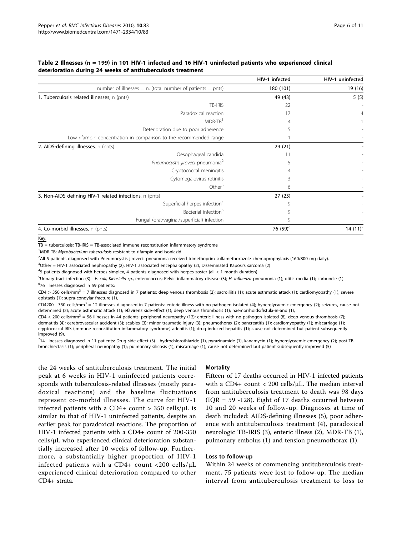<span id="page-5-0"></span>

| Table 2 Illnesses (n = 199) in 101 HIV-1 infected and 16 HIV-1 uninfected patients who experienced clinical |  |
|-------------------------------------------------------------------------------------------------------------|--|
| deterioration during 24 weeks of antituberculosis treatment                                                 |  |

|                                                                   | HIV-1 infected       | HIV-1 uninfected |
|-------------------------------------------------------------------|----------------------|------------------|
| number of illnesses = $n$ , (total number of patients = $pnts$ )  | 180 (101)            | 19 (16)          |
| 1. Tuberculosis related illnesses, n (pnts)                       | 49 (43)              | 5(5)             |
| TB-IRIS                                                           | 22                   |                  |
| Paradoxical reaction                                              | 17                   |                  |
| MDR-TB <sup>1</sup>                                               | 4                    |                  |
| Deterioration due to poor adherence                               | 5                    |                  |
| Low rifampin concentration in comparison to the recommended range |                      |                  |
| 2. AIDS-defining illnesses, n (pnts)                              | 29(21)               |                  |
| Oesophageal candida                                               |                      |                  |
| Pneumocystis jiroveci pneumonia <sup>2</sup>                      |                      |                  |
| Cryptococcal meningitis                                           |                      |                  |
| Cytomegalovirus retinitis                                         | 3                    |                  |
| Other $3$                                                         | 6                    |                  |
| 3. Non-AIDS defining HIV-1 related infections, n (pnts)           | 27(25)               |                  |
| Superficial herpes infection <sup>4</sup>                         | 9                    |                  |
| Bacterial infection <sup>5</sup>                                  | 9                    |                  |
| Fungal (oral/vaginal/superficial) infection                       | 9                    |                  |
| 4. Co-morbid illnesses, n (pnts)                                  | 76 (59) <sup>6</sup> | 14 $(11)^7$      |

Key:

 $TB =$  tuberculosis;  $TB$ -IRIS =  $TB$ -associated immune reconstitution inflammatory syndrome

<sup>1</sup>MDR-TB: Mycobacterium tuberculosis resistant to rifampin and isoniazid

2 All 5 patients diagnosed with Pneumocystis jirovecii pneumonia received trimethoprim sulfamethoxazole chemoprophylaxis (160/800 mg daily).

3 Other = HIV-1 associated nephropathy (2), HIV-1 associated encephalopathy (2), Disseminated Kaposi's sarcoma (2)

4 5 patients diagnosed with herpes simplex, 4 patients diagnosed with herpes zoster (all < 1 month duration)

5Urinary tract infection (3) - *E. coli, Klebsiella sp.*, enterococcus; Pelvic inflammatory disease (3); H. influenza pneumonia (1); otitis media (1); carbuncle (1) 6 76 illnesses diagnosed in 59 patients:

CD4 > 350 cells/mm<sup>3</sup> = 7 illnesses diagnosed in 7 patients: deep venous thrombosis (2); sacroiliitis (1); acute asthmatic attack (1); cardiomyopathy (1); severe epistaxis (1); supra-condylar fracture (1),

CD4200 - 350 cells/mm<sup>3</sup> = 12 illnesses diagnosed in 7 patients: enteric illness with no pathogen isolated (4); hyperglycaemic emergency (2); seizures, cause not determined (2); acute asthmatic attack (1); efavirenz side-effect (1); deep venous thrombosis (1); haemorrhoids/fistula-in-ano (1),

CD4 < 200 cells/mm<sup>3</sup> = 56 illnesses in 44 patients: peripheral neuropathy (12); enteric illness with no pathogen isolated (8); deep venous thrombosis (7); dermatitis (4); cerebrovascular accident (3); scabies (3); minor traumatic injury (3); pneumothorax (2); pancreatitis (1); cardiomyopathy (1); miscarriage (1); cryptococcal IRIS (immune reconstitution inflammatory syndrome) adenitis (1); drug induced hepatitis (1); cause not determined but patient subsequently improved (9).

<sup>7</sup>14 illnesses diagnosed in 11 patients: Drug side effect (3) - hydrochlorothiazide (1), pyrazinamide (1), kanamycin (1); hyperglycaemic emergency (2); post-TB bronchiectasis (1); peripheral neuropathy (1); pulmonary silicosis (1); miscarriage (1); cause not determined but patient subsequently improved (5)

the 24 weeks of antituberculosis treatment. The initial peak at 6 weeks in HIV-1 uninfected patients corresponds with tuberculosis-related illnesses (mostly paradoxical reactions) and the baseline fluctuations represent co-morbid illnesses. The curve for HIV-1 infected patients with a CD4+ count  $>$  350 cells/ $\mu$ L is similar to that of HIV-1 uninfected patients, despite an earlier peak for paradoxical reactions. The proportion of HIV-1 infected patients with a CD4+ count of 200-350 cells/μL who experienced clinical deterioration substantially increased after 10 weeks of follow-up. Furthermore, a substantially higher proportion of HIV-1 infected patients with a CD4+ count <200 cells/μL experienced clinical deterioration compared to other CD4+ strata.

#### **Mortality**

Fifteen of 17 deaths occurred in HIV-1 infected patients with a CD4+ count < 200 cells/ $\mu$ L. The median interval from antituberculosis treatment to death was 98 days  $( IQR = 59 - 128)$ . Eight of 17 deaths occurred between 10 and 20 weeks of follow-up. Diagnoses at time of death included: AIDS-defining illnesses (5), poor adherence with antituberculosis treatment (4), paradoxical neurologic TB-IRIS (3), enteric illness (2), MDR-TB (1), pulmonary embolus (1) and tension pneumothorax (1).

#### Loss to follow-up

Within 24 weeks of commencing antituberculosis treatment, 75 patients were lost to follow-up. The median interval from antituberculosis treatment to loss to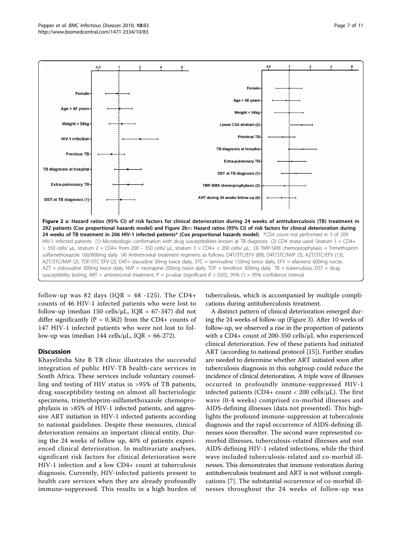<span id="page-6-0"></span>

follow-up was 82 days ( $IQR = 48 -125$ ). The CD4+ counts of 46 HIV-1 infected patients who were lost to follow-up (median 150 cells/ $\mu$ L, IQR = 67-347) did not differ significantly ( $P = 0.362$ ) from the CD4+ counts of 147 HIV-1 infected patients who were not lost to follow-up was (median 144 cells/ $\mu$ L, IQR = 66-272).

## **Discussion**

Khayelitsha Site B TB clinic illustrates the successful integration of public HIV-TB health-care services in South Africa. These services include voluntary counselling and testing of HIV status in >95% of TB patients, drug susceptibility testing on almost all bacteriologic specimens, trimethoprim-sulfamethoxazole chemoprophylaxis in >85% of HIV-1 infected patients, and aggressive ART initiation in HIV-1 infected patients according to national guidelines. Despite these measures, clinical deterioration remains an important clinical entity. During the 24 weeks of follow up, 40% of patients experienced clinical deterioration. In multivariate analyses, significant risk factors for clinical deterioration were HIV-1 infection and a low CD4+ count at tuberculosis diagnosis. Currently, HIV-infected patients present to health care services when they are already profoundly immune-suppressed. This results in a high burden of

tuberculosis, which is accompanied by multiple complications during antituberculosis treatment.

A distinct pattern of clinical deterioration emerged during the 24 weeks of follow-up (Figure [3\)](#page-7-0). After 10 weeks of follow-up, we observed a rise in the proportion of patients with a CD4+ count of 200-350 cells/μL who experienced clinical deterioration. Few of these patients had initiated ART (according to national protocol [\[15\]](#page-9-0)). Further studies are needed to determine whether ART initiated soon after tuberculosis diagnosis in this subgroup could reduce the incidence of clinical deterioration. A triple wave of illnesses occurred in profoundly immune-suppressed HIV-1 infected patients (CD4+ count  $<$  200 cells/ $\mu$ L). The first wave (0-4 weeks) comprised co-morbid illnesses and AIDS-defining illnesses (data not presented). This highlights the profound immune-suppression at tuberculosis diagnosis and the rapid occurrence of AIDS-defining illnesses soon thereafter. The second wave represented comorbid illnesses, tuberculosis-related illnesses and non AIDS-defining HIV-1 related infections, while the third wave included tuberculosis-related and co-morbid illnesses. This demonstrates that immune restoration during antituberculosis treatment and ART is not without complications [\[7](#page-9-0)]. The substantial occurrence of co-morbid illnesses throughout the 24 weeks of follow-up was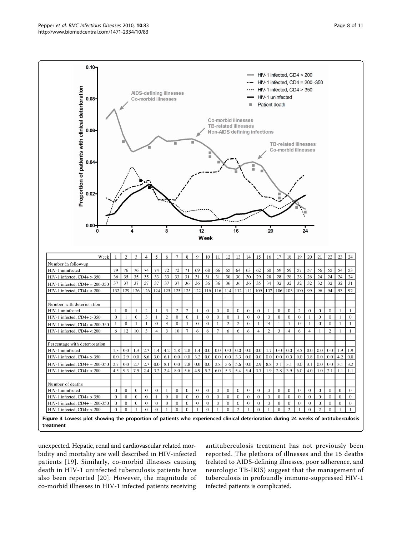<span id="page-7-0"></span>

unexpected. Hepatic, renal and cardiovascular related morbidity and mortality are well described in HIV-infected patients [[19](#page-9-0)]. Similarly, co-morbid illnesses causing death in HIV-1 uninfected tuberculosis patients have also been reported [[20](#page-9-0)]. However, the magnitude of co-morbid illnesses in HIV-1 infected patients receiving antituberculosis treatment has not previously been reported. The plethora of illnesses and the 15 deaths (related to AIDS-defining illnesses, poor adherence, and neurologic TB-IRIS) suggest that the management of tuberculosis in profoundly immune-suppressed HIV-1 infected patients is complicated.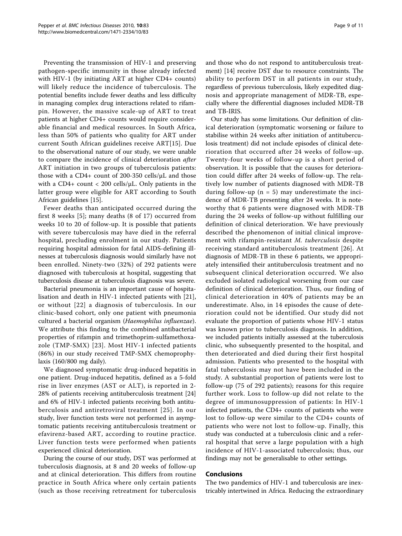Preventing the transmission of HIV-1 and preserving pathogen-specific immunity in those already infected with HIV-1 (by initiating ART at higher CD4+ counts) will likely reduce the incidence of tuberculosis. The potential benefits include fewer deaths and less difficulty in managing complex drug interactions related to rifampin. However, the massive scale-up of ART to treat patients at higher CD4+ counts would require considerable financial and medical resources. In South Africa, less than 50% of patients who quality for ART under current South African guidelines receive ART[\[15\]](#page-9-0). Due to the observational nature of our study, we were unable to compare the incidence of clinical deterioration after ART initiation in two groups of tuberculosis patients: those with a CD4+ count of 200-350 cells/μL and those with a CD4+ count < 200 cells/ $\mu$ L. Only patients in the latter group were eligible for ART according to South African guidelines [\[15\]](#page-9-0).

Fewer deaths than anticipated occurred during the first 8 weeks [\[5\]](#page-9-0); many deaths (8 of 17) occurred from weeks 10 to 20 of follow-up. It is possible that patients with severe tuberculosis may have died in the referral hospital, precluding enrolment in our study. Patients requiring hospital admission for fatal AIDS-defining illnesses at tuberculosis diagnosis would similarly have not been enrolled. Ninety-two (32%) of 292 patients were diagnosed with tuberculosis at hospital, suggesting that tuberculosis disease at tuberculosis diagnosis was severe.

Bacterial pneumonia is an important cause of hospitalisation and death in HIV-1 infected patients with [[21](#page-9-0)], or without [[22\]](#page-10-0) a diagnosis of tuberculosis. In our clinic-based cohort, only one patient with pneumonia cultured a bacterial organism (Haemophilus influenzae). We attribute this finding to the combined antibacterial properties of rifampin and trimethoprim-sulfamethoxazole (TMP-SMX) [[23](#page-10-0)]. Most HIV-1 infected patients (86%) in our study received TMP-SMX chemoprophylaxis (160/800 mg daily).

We diagnosed symptomatic drug-induced hepatitis in one patient. Drug-induced hepatitis, defined as a 5-fold rise in liver enzymes (AST or ALT), is reported in 2- 28% of patients receiving antituberculosis treatment [[24](#page-10-0)] and 6% of HIV-1 infected patients receiving both antituberculosis and antiretroviral treatment [[25](#page-10-0)]. In our study, liver function tests were not performed in asymptomatic patients receiving antituberculosis treatment or efavirenz-based ART, according to routine practice. Liver function tests were performed when patients experienced clinical deterioration.

During the course of our study, DST was performed at tuberculosis diagnosis, at 8 and 20 weeks of follow-up and at clinical deterioration. This differs from routine practice in South Africa where only certain patients (such as those receiving retreatment for tuberculosis and those who do not respond to antituberculosis treatment) [\[14](#page-9-0)] receive DST due to resource constraints. The ability to perform DST in all patients in our study, regardless of previous tuberculosis, likely expedited diagnosis and appropriate management of MDR-TB, especially where the differential diagnoses included MDR-TB and TB-IRIS.

Our study has some limitations. Our definition of clinical deterioration (symptomatic worsening or failure to stabilise within 24 weeks after initiation of antituberculosis treatment) did not include episodes of clinical deterioration that occurred after 24 weeks of follow-up. Twenty-four weeks of follow-up is a short period of observation. It is possible that the causes for deterioration could differ after 24 weeks of follow-up. The relatively low number of patients diagnosed with MDR-TB during follow-up ( $n = 5$ ) may underestimate the incidence of MDR-TB presenting after 24 weeks. It is noteworthy that 6 patients were diagnosed with MDR-TB during the 24 weeks of follow-up without fulfilling our definition of clinical deterioration. We have previously described the phenomenon of initial clinical improvement with rifampin-resistant M. tuberculosis despite receiving standard antituberculosis treatment [[26\]](#page-10-0). At diagnosis of MDR-TB in these 6 patients, we appropriately intensified their antituberculosis treatment and no subsequent clinical deterioration occurred. We also excluded isolated radiological worsening from our case definition of clinical deterioration. Thus, our finding of clinical deterioration in 40% of patients may be an underestimate. Also, in 14 episodes the cause of deterioration could not be identified. Our study did not evaluate the proportion of patients whose HIV-1 status was known prior to tuberculosis diagnosis. In addition, we included patients initially assessed at the tuberculosis clinic, who subsequently presented to the hospital, and then deteriorated and died during their first hospital admission. Patients who presented to the hospital with fatal tuberculosis may not have been included in the study. A substantial proportion of patients were lost to follow-up (75 of 292 patients); reasons for this require further work. Loss to follow-up did not relate to the degree of immunosuppression of patients: In HIV-1 infected patients, the CD4+ counts of patients who were lost to follow-up were similar to the CD4+ counts of patients who were not lost to follow-up. Finally, this study was conducted at a tuberculosis clinic and a referral hospital that serve a large population with a high incidence of HIV-1-associated tuberculosis; thus, our findings may not be generalisable to other settings.

#### Conclusions

The two pandemics of HIV-1 and tuberculosis are inextricably intertwined in Africa. Reducing the extraordinary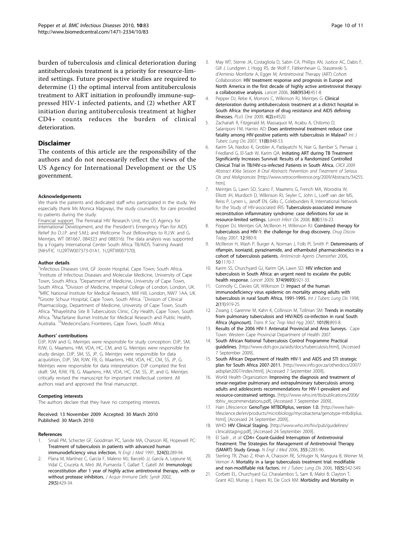<span id="page-9-0"></span>burden of tuberculosis and clinical deterioration during antituberculosis treatment is a priority for resource-limited settings. Future prospective studies are required to determine (1) the optimal interval from antituberculosis treatment to ART initiation in profoundly immune-suppressed HIV-1 infected patients, and (2) whether ART initiation during antituberculosis treatment at higher CD4+ counts reduces the burden of clinical deterioration.

## Disclaimer

The contents of this article are the responsibility of the authors and do not necessarily reflect the views of the US Agency for International Development or the US government.

#### Acknowledgements

We thank the patients and dedicated staff who participated in the study. We especially thank Ms Monica Magwayi, the study counsellor, for care provided to patients during the study.

Financial support. The Perinatal HIV Research Unit, the US Agency for International Development, and the President's Emergency Plan for AIDS Relief (to D.J.P. and S.M.); and Wellcome Trust (fellowships to R.J.W. and G. Meintjes, WT 081667, 084323 and 088316). The data analysis was supported by a Fogarty International Center South Africa TB/AIDS Training Award (NIH/FIC 1U2RTW007373-01A1, 1U2RTW007370).

#### Author details

<sup>1</sup>Infectious Diseases Unit, GF Jooste Hospital, Cape Town, South Africa. <sup>2</sup>Institute of Infectious Diseases and Molecular Medicine, University of Cape Town, South Africa. <sup>3</sup>Department of Medicine, University of Cape Town, South Africa. <sup>4</sup> Division of Medicine, Imperial College of London, London, UK.<br><sup>5</sup>MBC National Institute for Medical Besearch, Mill Hill London, NW7 144 LIK <sup>5</sup>MRC National Institute for Medical Research, Mill Hill, London, NW7 1AA, UK. <sup>6</sup>Groote Schuur Hospital, Cape Town, South Africa. <sup>7</sup>Division of Clinical Pharmacology, Department of Medicine, University of Cape Town, South Africa. <sup>8</sup>Khayelitsha Site B Tuberculosis Clinic, City Health, Cape Town, South Africa. <sup>9</sup>Macfarlane Burnet Institute for Medical Research and Public Health, Australia. 10MedecinsSans Frontieres, Cape Town, South Africa.

#### Authors' contributions

DJP, RJW and G. Meintjes were responsible for study conception. DJP, SM, RJW, G. Maartens, HM, VDA, HC, CM, and G. Meintjes were responsible for study design. DJP, SM, SS, JP, G. Meintjes were responsible for data acquisition, DJP, SM, RJW, FB, G. Maartens, HM, VDA, HC, CM, SS, JP, G. Meintjes were responsible for data interpretation. DJP compiled the first draft. SM, RJW, FB, G. Maartens, HM, VDA, HC, CM, SS, JP, and G. Meintjes critically revised the manuscript for important intellectual content. All authors read and approved the final manuscript.

#### Competing interests

The authors declare that they have no competing interests.

Received: 13 November 2009 Accepted: 30 March 2010 Published: 30 March 2010

#### References

- 1. Small PM, Schecter GF, Goodman PC, Sande MA, Chaisson RE, Hopewell PC: [Treatment of tuberculosis in patients with advanced human](http://www.ncbi.nlm.nih.gov/pubmed/1898769?dopt=Abstract) [immunodeficiency virus infection.](http://www.ncbi.nlm.nih.gov/pubmed/1898769?dopt=Abstract) N Engl J Med 1991, 324(5):289-94.
- 2. Plana M, Martínez C, García F, Maleno MJ, Barceló JJ, García A, Lejeune M, Vidal C, Cruceta A, Miró JM, Pumarola T, Gallart T, Gatell JM: [Immunologic](http://www.ncbi.nlm.nih.gov/pubmed/11981357?dopt=Abstract) [reconstitution after 1 year of highly active antiretroviral therapy, with or](http://www.ncbi.nlm.nih.gov/pubmed/11981357?dopt=Abstract) [without protease inhibitors.](http://www.ncbi.nlm.nih.gov/pubmed/11981357?dopt=Abstract) J Acquir Immune Defic Syndr 2002, 29(5):429-34.
- 3. May MT, Sterne JA, Costagliola D, Sabin CA, Phillips AN, Justice AC, Dabis F, Gill J, Lundgren J, Hogg RS, de Wolf F, Fätkenheuer G, Staszewski S, d'Arminio Monforte A, Egger M, Antiretroviral Therapy (ART) Cohort Collaboration: [HIV treatment response and prognosis in Europe and](http://www.ncbi.nlm.nih.gov/pubmed/16890831?dopt=Abstract) [North America in the first decade of highly active antiretroviral therapy:](http://www.ncbi.nlm.nih.gov/pubmed/16890831?dopt=Abstract) [a collaborative analysis.](http://www.ncbi.nlm.nih.gov/pubmed/16890831?dopt=Abstract) Lancet 2006, 368(9534):451-8.
- Pepper DJ, Rebe K, Morroni C, Wilkinson RJ, Meintjes G: [Clinical](http://www.ncbi.nlm.nih.gov/pubmed/19229341?dopt=Abstract) [deterioration during antituberculosis treatment at a district hospital in](http://www.ncbi.nlm.nih.gov/pubmed/19229341?dopt=Abstract) [South Africa: the importance of drug resistance and AIDS defining](http://www.ncbi.nlm.nih.gov/pubmed/19229341?dopt=Abstract) [illnesses.](http://www.ncbi.nlm.nih.gov/pubmed/19229341?dopt=Abstract) PLoS One 2009, 4(2):e4520.
- 5. Zachariah R, Fitzgerald M, Massaquoi M, Acabu A, Chilomo D, Salaniponi FM, Harries AD: [Does antiretroviral treatment reduce case](http://www.ncbi.nlm.nih.gov/pubmed/17705949?dopt=Abstract) [fatality among HIV-positive patients with tuberculosis in Malawi?](http://www.ncbi.nlm.nih.gov/pubmed/17705949?dopt=Abstract) Int J Tuberc Lung Dis 2007, 11(8):848-53.
- 6. Karim SA, Naidoo K, Grobler A, Padayatchi N, Nair G, Bamber S, Pienaar J, Friedland G, El-Sadr W, Karim QA: Initiating ART during TB Treatment Significantly Increases Survival: Results of a Randomized Controlled Clinical Trial in TB/HIV-co-infected Patients in South Africa. CROI 2009 Abstract #36a Session 8 Oral Abstracts Prevention and Treatment of Serious OIs and Malignancies [\[http://www.retroconference.org/2009/Abstracts/34255.](http://www.retroconference.org/2009/Abstracts/34255.htm) [htm](http://www.retroconference.org/2009/Abstracts/34255.htm)].
- 7. Meintjes G, Lawn SD, Scano F, Maartens G, French MA, Worodria W, Elliott JH, Murdoch D, Wilkinson RJ, Seyler C, John L, Loeff van der MS, Reiss P, Lynen L, Janoff EN, Gilks C, Colebunders R, International Network for the Study of HIV-associated IRIS: [Tuberculosis-associated immune](http://www.ncbi.nlm.nih.gov/pubmed/18652998?dopt=Abstract) [reconstitution inflammatory syndrome: case definitions for use in](http://www.ncbi.nlm.nih.gov/pubmed/18652998?dopt=Abstract) [resource-limited settings.](http://www.ncbi.nlm.nih.gov/pubmed/18652998?dopt=Abstract) Lancet Infect Dis 2008, 8(8):516-23.
- 8. Pepper DJ, Meintjes GA, McIlleron H, Wilkinson RJ: [Combined therapy for](http://www.ncbi.nlm.nih.gov/pubmed/17993418?dopt=Abstract) [tuberculosis and HIV-1: the challenge for drug discovery.](http://www.ncbi.nlm.nih.gov/pubmed/17993418?dopt=Abstract) Drug Discov Today 2007, 12:980-9.
- 9. McIlleron H, Wash P, Burger A, Norman J, Folb PI, Smith P: [Determinants of](http://www.ncbi.nlm.nih.gov/pubmed/16569826?dopt=Abstract) [rifampin, isoniazid, pyrazinamide, and ethambutol pharmacokinetics in a](http://www.ncbi.nlm.nih.gov/pubmed/16569826?dopt=Abstract) [cohort of tuberculosis patients.](http://www.ncbi.nlm.nih.gov/pubmed/16569826?dopt=Abstract) Antimicrob Agents Chemother 2006, 50:1170-7.
- 10. Karim SS, Churchyard GJ, Karim QA, Lawn SD: [HIV infection and](http://www.ncbi.nlm.nih.gov/pubmed/19709731?dopt=Abstract) [tuberculosis in South Africa: an urgent need to escalate the public](http://www.ncbi.nlm.nih.gov/pubmed/19709731?dopt=Abstract) [health response.](http://www.ncbi.nlm.nih.gov/pubmed/19709731?dopt=Abstract) Lancet 2009, 374(9693):921-33.
- 11. Connolly C, Davies GR, Wilkinson D: [Impact of the human](http://www.ncbi.nlm.nih.gov/pubmed/9848614?dopt=Abstract) [immunodeficiency virus epidemic on mortality among adults with](http://www.ncbi.nlm.nih.gov/pubmed/9848614?dopt=Abstract) [tuberculosis in rural South Africa, 1991-1995.](http://www.ncbi.nlm.nih.gov/pubmed/9848614?dopt=Abstract) Int J Tuberc Lung Dis 1998, 2(11):919-25.
- 12. Zwang J, Garenne M, Kahn K, Collinson M, Tollman SM: [Trends in mortality](http://www.ncbi.nlm.nih.gov/pubmed/17597174?dopt=Abstract) [from pulmonary tuberculosis and HIV/AIDS co-infection in rural South](http://www.ncbi.nlm.nih.gov/pubmed/17597174?dopt=Abstract) [Africa \(Agincourt\).](http://www.ncbi.nlm.nih.gov/pubmed/17597174?dopt=Abstract) Trans R Soc Trop Med Hyg 2007, 101(9):893-8.
- 13. Results of the 2006 HIV-1 Antenatal Provincial and Area Surveys. Cape Town: Western Cape Provincial Department of Health 2007.
- 14. South African National Tuberculosis Control Programme Practical guidelines. [[http://www.doh.gov.za/aids/docs/tuberculosis.html\]](http://www.doh.gov.za/aids/docs/tuberculosis.html), [Accessed 7 September 2009]..
- 15. South African Department of Health HIV-1 and AIDS and STI strategic plan for South Africa 2007-2011. [\[http://www.info.gov.za/otherdocs/2007/](http://www.info.gov.za/otherdocs/2007/aidsplan2007/index.html) [aidsplan2007/index.html\]](http://www.info.gov.za/otherdocs/2007/aidsplan2007/index.html), [Accessed 7 September 2009]..
- 16. World Health Organization: Improving the diagnosis and treatment of smear-negative pulmonary and extrapulmonary tuberculosis among adults and adolescents recommendations for HIV-1-prevalent and resource-constrained settings. [\[http://www.who.int/tb/publications/2006/](http://www.who.int/tb/publications/2006/tbhiv_recommendations.pdf) [tbhiv\\_recommendations.pdf](http://www.who.int/tb/publications/2006/tbhiv_recommendations.pdf)], [Accessed 7 September 2009]..
- 17. Hain Lifescience: GenoType MTBDRplus, version 1.0. [\[http://www.hain](http://www.hain-lifescience.de/en/products/microbiology/mycobacteria/genotype-mtbdrplus.html)[lifescience.de/en/products/microbiology/mycobacteria/genotype-mtbdrplus.](http://www.hain-lifescience.de/en/products/microbiology/mycobacteria/genotype-mtbdrplus.html) [html\]](http://www.hain-lifescience.de/en/products/microbiology/mycobacteria/genotype-mtbdrplus.html), [Accessed 24 September 2009]..
- 18. WHO: HIV Clinical Staging. [\[http://www.who.int/hiv/pub/guidelines/](http://www.who.int/hiv/pub/guidelines/clinicalstaging.pdf) [clinicalstaging.pdf](http://www.who.int/hiv/pub/guidelines/clinicalstaging.pdf)], [Accessed 24 September 2009]
- 19. El Sadr , et al: [CD4+ Count-Guided Interruption of Antiretroviral](http://www.ncbi.nlm.nih.gov/pubmed/17135583?dopt=Abstract) [Treatment: The Strategies for Management of Antiretroviral Therapy](http://www.ncbi.nlm.nih.gov/pubmed/17135583?dopt=Abstract) [\(SMART\) Study Group.](http://www.ncbi.nlm.nih.gov/pubmed/17135583?dopt=Abstract) N Engl J Med 2006, 355:2283-96.
- 20. Sterling TR, Zhao Z, Khan A, Chaisson RE, Schluger N, Mangura B, Weiner M, Vernon A: [Mortality in a large tuberculosis treatment trial: modifiable](http://www.ncbi.nlm.nih.gov/pubmed/16704037?dopt=Abstract) [and non-modifiable risk factors.](http://www.ncbi.nlm.nih.gov/pubmed/16704037?dopt=Abstract) Int J Tuberc Lung Dis 2006, 10(5):542-549.
- 21. Corbett EL, Churchyard GJ, Charalambos S, Sam B, Maloi B, Clayton T, Grant AD, Murray J, Hayes RJ, De Cock KM: [Morbidity and Mortality in](http://www.ncbi.nlm.nih.gov/pubmed/11941552?dopt=Abstract)